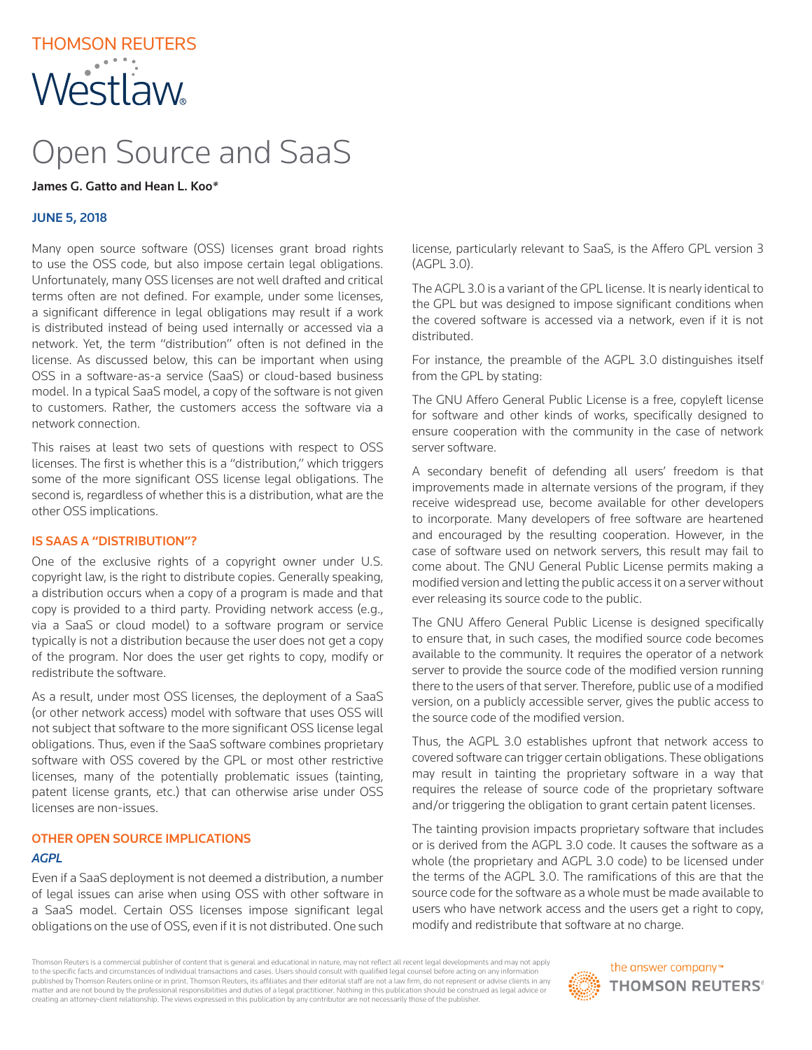## THOMSON REUTERS **Westlaw**

# Open Source and SaaS

## James G. Gatto and Hean L. Koo*\**

## JUNE 5, 2018

Many open source software (OSS) licenses grant broad rights to use the OSS code, but also impose certain legal obligations. Unfortunately, many OSS licenses are not well drafted and critical terms often are not defined. For example, under some licenses, a significant difference in legal obligations may result if a work is distributed instead of being used internally or accessed via a network. Yet, the term "distribution" often is not defined in the license. As discussed below, this can be important when using OSS in a software-as-a service (SaaS) or cloud-based business model. In a typical SaaS model, a copy of the software is not given to customers. Rather, the customers access the software via a network connection.

This raises at least two sets of questions with respect to OSS licenses. The first is whether this is a "distribution," which triggers some of the more significant OSS license legal obligations. The second is, regardless of whether this is a distribution, what are the other OSS implications.

## IS SAAS A "DISTRIBUTION"?

One of the exclusive rights of a copyright owner under U.S. copyright law, is the right to distribute copies. Generally speaking, a distribution occurs when a copy of a program is made and that copy is provided to a third party. Providing network access (e.g., via a SaaS or cloud model) to a software program or service typically is not a distribution because the user does not get a copy of the program. Nor does the user get rights to copy, modify or redistribute the software.

As a result, under most OSS licenses, the deployment of a SaaS (or other network access) model with software that uses OSS will not subject that software to the more significant OSS license legal obligations. Thus, even if the SaaS software combines proprietary software with OSS covered by the GPL or most other restrictive licenses, many of the potentially problematic issues (tainting, patent license grants, etc.) that can otherwise arise under OSS licenses are non-issues.

## OTHER OPEN SOURCE IMPLICATIONS

#### *AGPL*

Even if a SaaS deployment is not deemed a distribution, a number of legal issues can arise when using OSS with other software in a SaaS model. Certain OSS licenses impose significant legal obligations on the use of OSS, even if it is not distributed. One such

license, particularly relevant to SaaS, is the Affero GPL version 3 (AGPL 3.0).

The AGPL 3.0 is a variant of the GPL license. It is nearly identical to the GPL but was designed to impose significant conditions when the covered software is accessed via a network, even if it is not distributed.

For instance, the preamble of the AGPL 3.0 distinguishes itself from the GPL by stating:

The GNU Affero General Public License is a free, copyleft license for software and other kinds of works, specifically designed to ensure cooperation with the community in the case of network server software.

A secondary benefit of defending all users' freedom is that improvements made in alternate versions of the program, if they receive widespread use, become available for other developers to incorporate. Many developers of free software are heartened and encouraged by the resulting cooperation. However, in the case of software used on network servers, this result may fail to come about. The GNU General Public License permits making a modified version and letting the public access it on a server without ever releasing its source code to the public.

The GNU Affero General Public License is designed specifically to ensure that, in such cases, the modified source code becomes available to the community. It requires the operator of a network server to provide the source code of the modified version running there to the users of that server. Therefore, public use of a modified version, on a publicly accessible server, gives the public access to the source code of the modified version.

Thus, the AGPL 3.0 establishes upfront that network access to covered software can trigger certain obligations. These obligations may result in tainting the proprietary software in a way that requires the release of source code of the proprietary software and/or triggering the obligation to grant certain patent licenses.

The tainting provision impacts proprietary software that includes or is derived from the AGPL 3.0 code. It causes the software as a whole (the proprietary and AGPL 3.0 code) to be licensed under the terms of the AGPL 3.0. The ramifications of this are that the source code for the software as a whole must be made available to users who have network access and the users get a right to copy, modify and redistribute that software at no charge.

Thomson Reuters is a commercial publisher of content that is general and educational in nature, may not reflect all recent legal developments and may not apply to the specific facts and circumstances of individual transactions and cases. Users should consult with qualified legal counsel before acting on any information published by Thomson Reuters online or in print. Thomson Reuters, its affiliates and their editorial staff are not a law firm, do not represent or advise clients in any matter and are not bound by the professional responsibilities and duties of a legal practitioner. Nothing in this publication should be construed as legal advice or creating an attorney-client relationship. The views expressed in this publication by any contributor are not necessarily those of the publisher.

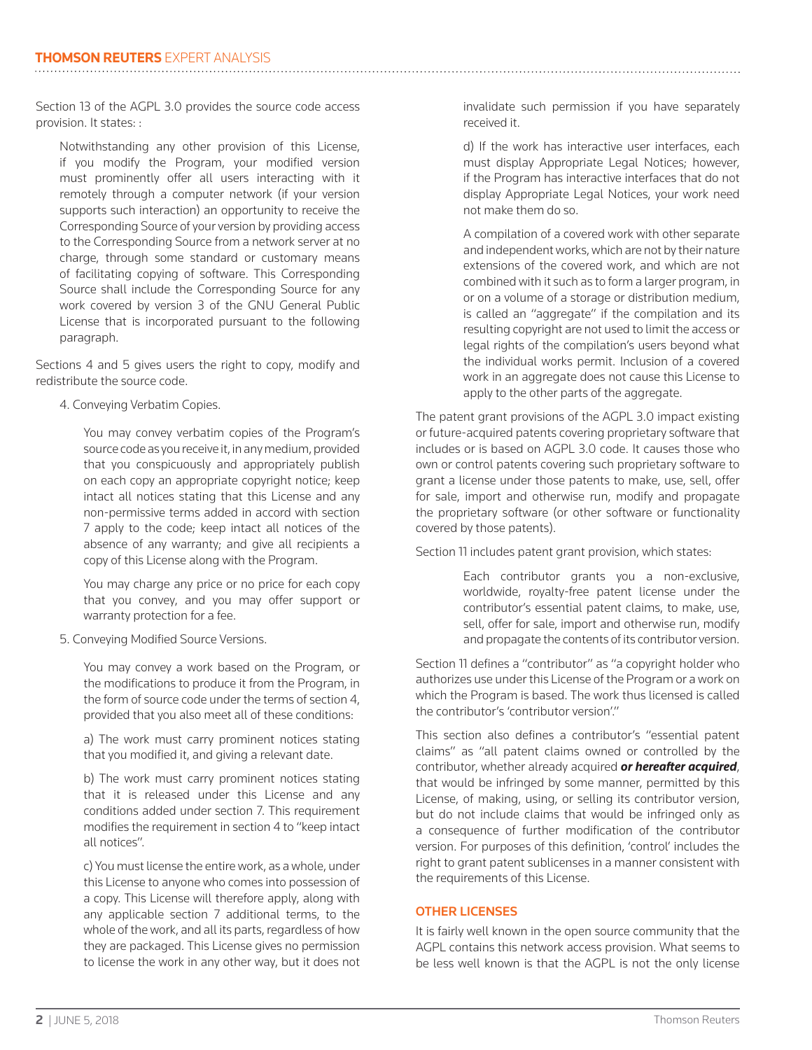Section 13 of the AGPL 3.0 provides the source code access provision. It states: :

Notwithstanding any other provision of this License, if you modify the Program, your modified version must prominently offer all users interacting with it remotely through a computer network (if your version supports such interaction) an opportunity to receive the Corresponding Source of your version by providing access to the Corresponding Source from a network server at no charge, through some standard or customary means of facilitating copying of software. This Corresponding Source shall include the Corresponding Source for any work covered by version 3 of the GNU General Public License that is incorporated pursuant to the following paragraph.

Sections 4 and 5 gives users the right to copy, modify and redistribute the source code.

4. Conveying Verbatim Copies.

 You may convey verbatim copies of the Program's source code as you receive it, in any medium, provided that you conspicuously and appropriately publish on each copy an appropriate copyright notice; keep intact all notices stating that this License and any non-permissive terms added in accord with section 7 apply to the code; keep intact all notices of the absence of any warranty; and give all recipients a copy of this License along with the Program.

 You may charge any price or no price for each copy that you convey, and you may offer support or warranty protection for a fee.

5. Conveying Modified Source Versions.

 You may convey a work based on the Program, or the modifications to produce it from the Program, in the form of source code under the terms of section 4, provided that you also meet all of these conditions:

 a) The work must carry prominent notices stating that you modified it, and giving a relevant date.

 b) The work must carry prominent notices stating that it is released under this License and any conditions added under section 7. This requirement modifies the requirement in section 4 to "keep intact all notices".

 c) You must license the entire work, as a whole, under this License to anyone who comes into possession of a copy. This License will therefore apply, along with any applicable section 7 additional terms, to the whole of the work, and all its parts, regardless of how they are packaged. This License gives no permission to license the work in any other way, but it does not invalidate such permission if you have separately received it.

 d) If the work has interactive user interfaces, each must display Appropriate Legal Notices; however, if the Program has interactive interfaces that do not display Appropriate Legal Notices, your work need not make them do so.

 A compilation of a covered work with other separate and independent works, which are not by their nature extensions of the covered work, and which are not combined with it such as to form a larger program, in or on a volume of a storage or distribution medium, is called an "aggregate" if the compilation and its resulting copyright are not used to limit the access or legal rights of the compilation's users beyond what the individual works permit. Inclusion of a covered work in an aggregate does not cause this License to apply to the other parts of the aggregate.

The patent grant provisions of the AGPL 3.0 impact existing or future-acquired patents covering proprietary software that includes or is based on AGPL 3.0 code. It causes those who own or control patents covering such proprietary software to grant a license under those patents to make, use, sell, offer for sale, import and otherwise run, modify and propagate the proprietary software (or other software or functionality covered by those patents).

Section 11 includes patent grant provision, which states:

 Each contributor grants you a non-exclusive, worldwide, royalty-free patent license under the contributor's essential patent claims, to make, use, sell, offer for sale, import and otherwise run, modify and propagate the contents of its contributor version.

Section 11 defines a "contributor" as "a copyright holder who authorizes use under this License of the Program or a work on which the Program is based. The work thus licensed is called the contributor's 'contributor version'."

This section also defines a contributor's "essential patent claims" as "all patent claims owned or controlled by the contributor, whether already acquired *or hereafter acquired*, that would be infringed by some manner, permitted by this License, of making, using, or selling its contributor version, but do not include claims that would be infringed only as a consequence of further modification of the contributor version. For purposes of this definition, 'control' includes the right to grant patent sublicenses in a manner consistent with the requirements of this License.

## OTHER LICENSES

It is fairly well known in the open source community that the AGPL contains this network access provision. What seems to be less well known is that the AGPL is not the only license